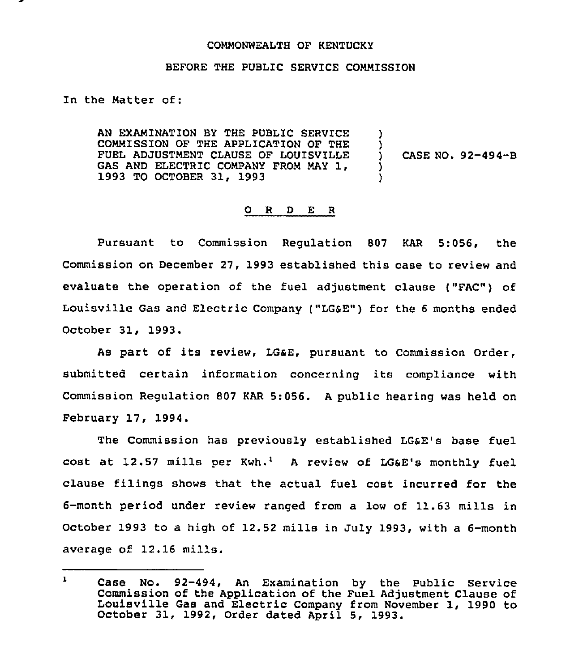## COMMONWEALTH OF KENTUCKY

## BEFORE THE PUBLIC SERVICE COMMISSION

## In the Matter of:

AN EXAMINATION BY THE PUBLIC SERVICE COMMISSION OF THE APPLICATION OF THE FUEL ADJUSTMENT CLAUSE OF LOUISVILLE GAS AND ELECTRIC COMPANY FROM MAY 1, 1993 TO OCTOBER 31, 1993 ) ) ) CASE NO. 92-494-B ) )

## 0 <sup>R</sup> <sup>D</sup> E <sup>R</sup>

Pursuant to Commission Regulation 807 KAR 5:056, the Commission on December 27, 1993 established this case to review and evaluate the operation of the fuel adjustment clause ("FAC") of Louisville Gas and Electric Company ("LGSE") for the <sup>6</sup> months ended October 31, 1993.

As part of its review, LG&E, pursuant to Commission Order, submitted certain information concerning its compliance with Commission Regulation 807 KAR 5:056. <sup>A</sup> public hearing was held on February 17, 1994.

The Commission has previously established LGsE's base fuel cost at  $12.57$  mills per Kwh.<sup>1</sup> A review of LG&E's monthly fuel clause filings shows that the actual fuel cost incurred for the 6-month period under review ranged from a low of 11.63 mills in October 1993 to a high of 12.52 mills in July 1993, with a 6-month average of 12.16 mills.

 $\mathbf{1}$ Case No. 92-494, An Examination by the Public Service Commission of the Application of the Louisville Gas and Electric Company Commission of the Application of the Fuel Adjustment Clause of Louisville Gas and Electric Company from November 1, 1990 to<br>October 31, 1992, Order dated April 5, 1993.